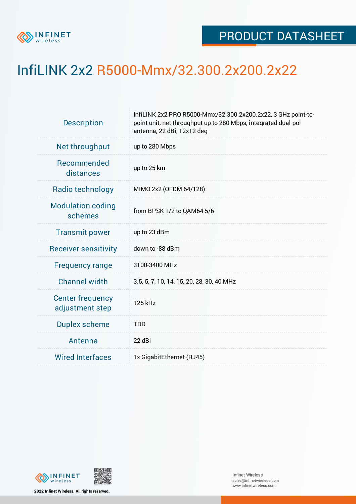

## InfiLINK 2x2 R5000-Mmx/32.300.2x200.2x22

| <b>Description</b>                         | InfiLINK 2x2 PRO R5000-Mmx/32.300.2x200.2x22, 3 GHz point-to-<br>point unit, net throughput up to 280 Mbps, integrated dual-pol<br>antenna, 22 dBi, 12x12 deg |  |  |  |  |
|--------------------------------------------|---------------------------------------------------------------------------------------------------------------------------------------------------------------|--|--|--|--|
| Net throughput                             | up to 280 Mbps                                                                                                                                                |  |  |  |  |
| Recommended<br>distances                   | up to 25 km                                                                                                                                                   |  |  |  |  |
| Radio technology                           | MIMO 2x2 (OFDM 64/128)                                                                                                                                        |  |  |  |  |
| <b>Modulation coding</b><br>schemes        | from BPSK 1/2 to QAM64 5/6                                                                                                                                    |  |  |  |  |
| <b>Transmit power</b>                      | up to 23 dBm                                                                                                                                                  |  |  |  |  |
| <b>Receiver sensitivity</b>                | down to -88 dBm                                                                                                                                               |  |  |  |  |
| <b>Frequency range</b>                     | 3100-3400 MHz                                                                                                                                                 |  |  |  |  |
| <b>Channel width</b>                       | 3.5, 5, 7, 10, 14, 15, 20, 28, 30, 40 MHz                                                                                                                     |  |  |  |  |
| <b>Center frequency</b><br>adjustment step | 125 kHz                                                                                                                                                       |  |  |  |  |
| <b>Duplex scheme</b>                       | <b>TDD</b>                                                                                                                                                    |  |  |  |  |
| Antenna                                    | 22 dBi                                                                                                                                                        |  |  |  |  |
| <b>Wired Interfaces</b>                    | 1x GigabitEthernet (RJ45)                                                                                                                                     |  |  |  |  |



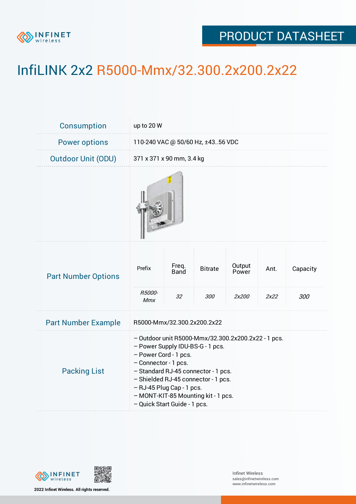

## PRODUCT DATASHEET

## InfiLINK 2x2 R5000-Mmx/32.300.2x200.2x22

| Consumption                | up to 20 W                                                                                                                                                                                                                                                                                                                 |                     |                       |                          |              |                 |  |  |
|----------------------------|----------------------------------------------------------------------------------------------------------------------------------------------------------------------------------------------------------------------------------------------------------------------------------------------------------------------------|---------------------|-----------------------|--------------------------|--------------|-----------------|--|--|
| <b>Power options</b>       | 110-240 VAC @ 50/60 Hz, ±4356 VDC                                                                                                                                                                                                                                                                                          |                     |                       |                          |              |                 |  |  |
| <b>Outdoor Unit (ODU)</b>  | 371 x 371 x 90 mm, 3.4 kg                                                                                                                                                                                                                                                                                                  |                     |                       |                          |              |                 |  |  |
|                            |                                                                                                                                                                                                                                                                                                                            |                     |                       |                          |              |                 |  |  |
| <b>Part Number Options</b> | Prefix<br>R5000-<br>Mmx                                                                                                                                                                                                                                                                                                    | Freq.<br>Band<br>32 | <b>Bitrate</b><br>300 | Output<br>Power<br>2x200 | Ant.<br>2x22 | Capacity<br>300 |  |  |
| <b>Part Number Example</b> | R5000-Mmx/32.300.2x200.2x22                                                                                                                                                                                                                                                                                                |                     |                       |                          |              |                 |  |  |
| <b>Packing List</b>        | - Outdoor unit R5000-Mmx/32.300.2x200.2x22 - 1 pcs.<br>- Power Supply IDU-BS-G - 1 pcs.<br>- Power Cord - 1 pcs.<br>- Connector - 1 pcs.<br>- Standard RJ-45 connector - 1 pcs.<br>- Shielded RJ-45 connector - 1 pcs.<br>- RJ-45 Plug Cap - 1 pcs.<br>- MONT-KIT-85 Mounting kit - 1 pcs.<br>- Quick Start Guide - 1 pcs. |                     |                       |                          |              |                 |  |  |



**2022 Infinet Wireless. All rights reserved.**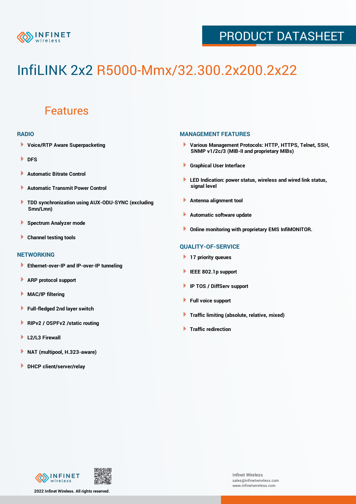

## PRODUCT DATASHEET

# InfiLINK 2x2 R5000-Mmx/32.300.2x200.2x22

### Features

#### **RADIO**

- **Voice/RTP Aware Superpacketing**
- **DFS**
- **Automatic Bitrate Control** Þ
- Þ **Automatic Transmit Power Control**
- ь **TDD synchronization using AUX-ODU-SYNC (excluding Smn/Lmn)**
- **Spectrum Analyzer mode** ۰
- **Channel testing tools** ١

#### **NETWORKING**

- **Ethernet-over-IP and IP-over-IP tunneling**
- **ARP protocol support** ٠
- ۱ **MAC/IP filtering**
- Þ **Full-fledged 2nd layer switch**
- Þ **RIPv2 / OSPFv2 /static routing**
- **L2/L3 Firewall** Þ
- **NAT (multipool, H.323-aware)** Þ
- Þ **DHCP client/server/relay**

#### **MANAGEMENT FEATURES**

- **Various Management Protocols: HTTP, HTTPS, Telnet, SSH, SNMP v1/2c/3 (MIB-II and proprietary MIBs)**
- **Graphical User Interface**
- **LED Indication: power status, wireless and wired link status, signal level**
- **Antenna alignment tool**
- ٠ **Automatic software update**
- **Online monitoring with proprietary EMS InfiMONITOR.**

#### **QUALITY-OF-SERVICE**

- **17 priority queues**
- **IEEE 802.1p support**
- **IP TOS / DiffServ support**
- ٠ **Full voice support**
- **Traffic limiting (absolute, relative, mixed)** ٠
- **Traffic redirection**